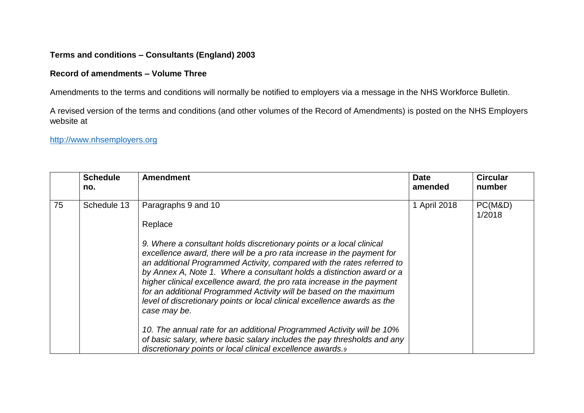## **Terms and conditions – Consultants (England) 2003**

## **Record of amendments – Volume Three**

Amendments to the terms and conditions will normally be notified to employers via a message in the NHS Workforce Bulletin.

A revised version of the terms and conditions (and other volumes of the Record of Amendments) is posted on the NHS Employers website at

## [http://www.nhsemployers.org](http://www.nhsemployers.org/)

|    | <b>Schedule</b><br>no. | <b>Amendment</b>                                                                                                                                                                                                                                                                                                                                                                                                                                                                                                                                                                                                                                         | <b>Date</b><br>amended | <b>Circular</b><br>number |
|----|------------------------|----------------------------------------------------------------------------------------------------------------------------------------------------------------------------------------------------------------------------------------------------------------------------------------------------------------------------------------------------------------------------------------------------------------------------------------------------------------------------------------------------------------------------------------------------------------------------------------------------------------------------------------------------------|------------------------|---------------------------|
| 75 | Schedule 13            | Paragraphs 9 and 10<br>Replace<br>9. Where a consultant holds discretionary points or a local clinical<br>excellence award, there will be a pro rata increase in the payment for<br>an additional Programmed Activity, compared with the rates referred to<br>by Annex A, Note 1. Where a consultant holds a distinction award or a<br>higher clinical excellence award, the pro rata increase in the payment<br>for an additional Programmed Activity will be based on the maximum<br>level of discretionary points or local clinical excellence awards as the<br>case may be.<br>10. The annual rate for an additional Programmed Activity will be 10% | 1 April 2018           | PC(M&D)<br>1/2018         |
|    |                        | of basic salary, where basic salary includes the pay thresholds and any<br>discretionary points or local clinical excellence awards.9                                                                                                                                                                                                                                                                                                                                                                                                                                                                                                                    |                        |                           |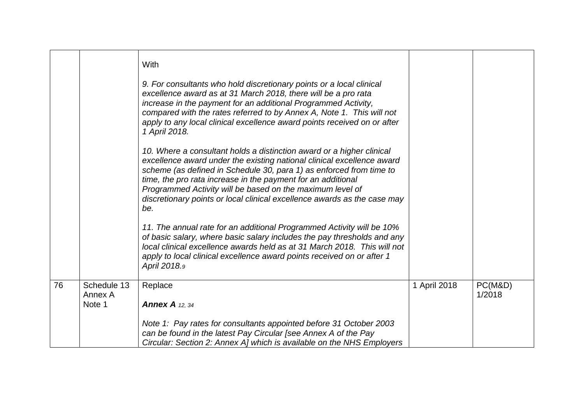|    |                                  | With<br>9. For consultants who hold discretionary points or a local clinical<br>excellence award as at 31 March 2018, there will be a pro rata<br>increase in the payment for an additional Programmed Activity,<br>compared with the rates referred to by Annex A, Note 1. This will not<br>apply to any local clinical excellence award points received on or after<br>1 April 2018.<br>10. Where a consultant holds a distinction award or a higher clinical<br>excellence award under the existing national clinical excellence award<br>scheme (as defined in Schedule 30, para 1) as enforced from time to<br>time, the pro rata increase in the payment for an additional<br>Programmed Activity will be based on the maximum level of<br>discretionary points or local clinical excellence awards as the case may<br>be.<br>11. The annual rate for an additional Programmed Activity will be 10%<br>of basic salary, where basic salary includes the pay thresholds and any<br>local clinical excellence awards held as at 31 March 2018. This will not<br>apply to local clinical excellence award points received on or after 1<br>April 2018.9 |              |                   |
|----|----------------------------------|------------------------------------------------------------------------------------------------------------------------------------------------------------------------------------------------------------------------------------------------------------------------------------------------------------------------------------------------------------------------------------------------------------------------------------------------------------------------------------------------------------------------------------------------------------------------------------------------------------------------------------------------------------------------------------------------------------------------------------------------------------------------------------------------------------------------------------------------------------------------------------------------------------------------------------------------------------------------------------------------------------------------------------------------------------------------------------------------------------------------------------------------------------|--------------|-------------------|
| 76 | Schedule 13<br>Annex A<br>Note 1 | Replace<br><b>Annex A</b> 12, 34<br>Note 1: Pay rates for consultants appointed before 31 October 2003<br>can be found in the latest Pay Circular [see Annex A of the Pay<br>Circular: Section 2: Annex A] which is available on the NHS Employers                                                                                                                                                                                                                                                                                                                                                                                                                                                                                                                                                                                                                                                                                                                                                                                                                                                                                                         | 1 April 2018 | PC(M&D)<br>1/2018 |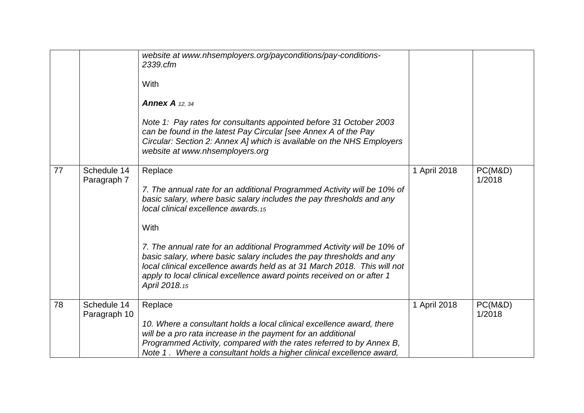|    |                             | website at www.nhsemployers.org/payconditions/pay-conditions-<br>2339.cfm<br>With<br><b>Annex A</b> 12, 34<br>Note 1: Pay rates for consultants appointed before 31 October 2003<br>can be found in the latest Pay Circular [see Annex A of the Pay<br>Circular: Section 2: Annex A] which is available on the NHS Employers<br>website at www.nhsemployers.org                                                                                                                                                                     |              |                   |
|----|-----------------------------|-------------------------------------------------------------------------------------------------------------------------------------------------------------------------------------------------------------------------------------------------------------------------------------------------------------------------------------------------------------------------------------------------------------------------------------------------------------------------------------------------------------------------------------|--------------|-------------------|
| 77 | Schedule 14<br>Paragraph 7  | Replace<br>7. The annual rate for an additional Programmed Activity will be 10% of<br>basic salary, where basic salary includes the pay thresholds and any<br>local clinical excellence awards.15<br>With<br>7. The annual rate for an additional Programmed Activity will be 10% of<br>basic salary, where basic salary includes the pay thresholds and any<br>local clinical excellence awards held as at 31 March 2018. This will not<br>apply to local clinical excellence award points received on or after 1<br>April 2018.15 | 1 April 2018 | PC(M&D)<br>1/2018 |
| 78 | Schedule 14<br>Paragraph 10 | Replace<br>10. Where a consultant holds a local clinical excellence award, there<br>will be a pro rata increase in the payment for an additional<br>Programmed Activity, compared with the rates referred to by Annex B,<br>Note 1. Where a consultant holds a higher clinical excellence award,                                                                                                                                                                                                                                    | 1 April 2018 | PC(M&D)<br>1/2018 |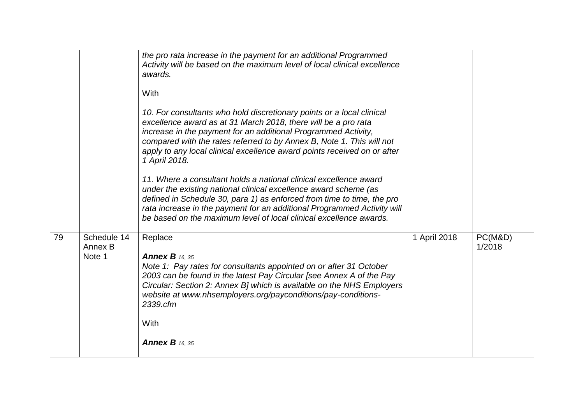|    |                                  | the pro rata increase in the payment for an additional Programmed<br>Activity will be based on the maximum level of local clinical excellence<br>awards.<br>With<br>10. For consultants who hold discretionary points or a local clinical<br>excellence award as at 31 March 2018, there will be a pro rata<br>increase in the payment for an additional Programmed Activity,<br>compared with the rates referred to by Annex B, Note 1. This will not<br>apply to any local clinical excellence award points received on or after<br>1 April 2018.<br>11. Where a consultant holds a national clinical excellence award<br>under the existing national clinical excellence award scheme (as<br>defined in Schedule 30, para 1) as enforced from time to time, the pro<br>rata increase in the payment for an additional Programmed Activity will<br>be based on the maximum level of local clinical excellence awards. |              |                   |
|----|----------------------------------|-------------------------------------------------------------------------------------------------------------------------------------------------------------------------------------------------------------------------------------------------------------------------------------------------------------------------------------------------------------------------------------------------------------------------------------------------------------------------------------------------------------------------------------------------------------------------------------------------------------------------------------------------------------------------------------------------------------------------------------------------------------------------------------------------------------------------------------------------------------------------------------------------------------------------|--------------|-------------------|
| 79 | Schedule 14<br>Annex B<br>Note 1 | Replace<br><b>Annex B</b> 16, 35<br>Note 1: Pay rates for consultants appointed on or after 31 October<br>2003 can be found in the latest Pay Circular [see Annex A of the Pay<br>Circular: Section 2: Annex B] which is available on the NHS Employers<br>website at www.nhsemployers.org/payconditions/pay-conditions-<br>2339.cfm<br>With<br><b>Annex B</b> 16, 35                                                                                                                                                                                                                                                                                                                                                                                                                                                                                                                                                   | 1 April 2018 | PC(M&D)<br>1/2018 |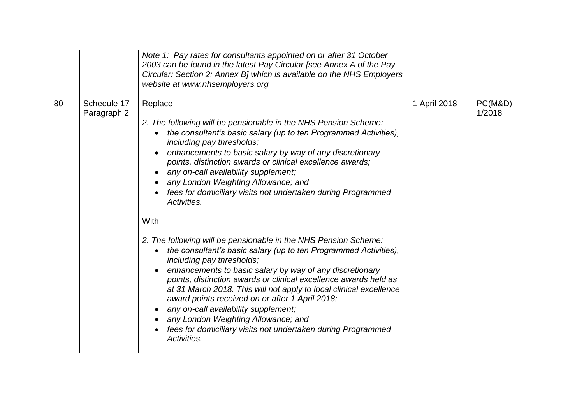|    |                            | Note 1: Pay rates for consultants appointed on or after 31 October<br>2003 can be found in the latest Pay Circular [see Annex A of the Pay<br>Circular: Section 2: Annex B] which is available on the NHS Employers<br>website at www.nhsemployers.org                                                                                                                                                                                                                                                                                                                                                                                                                                                                                                                                                                                                                                                                                                                                                                                                                                  |              |                   |
|----|----------------------------|-----------------------------------------------------------------------------------------------------------------------------------------------------------------------------------------------------------------------------------------------------------------------------------------------------------------------------------------------------------------------------------------------------------------------------------------------------------------------------------------------------------------------------------------------------------------------------------------------------------------------------------------------------------------------------------------------------------------------------------------------------------------------------------------------------------------------------------------------------------------------------------------------------------------------------------------------------------------------------------------------------------------------------------------------------------------------------------------|--------------|-------------------|
| 80 | Schedule 17<br>Paragraph 2 | Replace<br>2. The following will be pensionable in the NHS Pension Scheme:<br>the consultant's basic salary (up to ten Programmed Activities),<br>٠<br>including pay thresholds;<br>enhancements to basic salary by way of any discretionary<br>points, distinction awards or clinical excellence awards;<br>any on-call availability supplement;<br>any London Weighting Allowance; and<br>fees for domiciliary visits not undertaken during Programmed<br>Activities.<br>With<br>2. The following will be pensionable in the NHS Pension Scheme:<br>the consultant's basic salary (up to ten Programmed Activities),<br>$\bullet$<br>including pay thresholds;<br>enhancements to basic salary by way of any discretionary<br>points, distinction awards or clinical excellence awards held as<br>at 31 March 2018. This will not apply to local clinical excellence<br>award points received on or after 1 April 2018;<br>any on-call availability supplement;<br>any London Weighting Allowance; and<br>fees for domiciliary visits not undertaken during Programmed<br>Activities. | 1 April 2018 | PC(M&D)<br>1/2018 |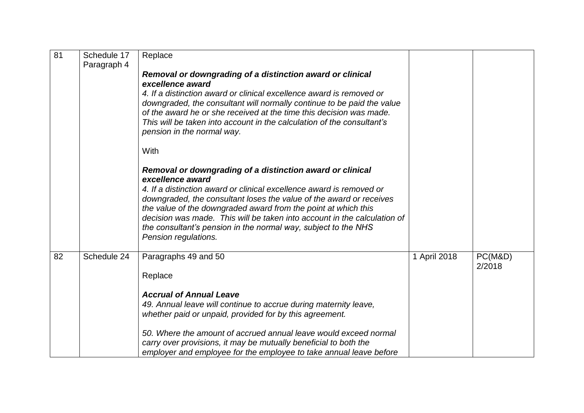| $\overline{81}$ | Schedule 17<br>Paragraph 4 | Replace                                                                                                                                                                                                                                                                                                                                                                             |              |         |  |
|-----------------|----------------------------|-------------------------------------------------------------------------------------------------------------------------------------------------------------------------------------------------------------------------------------------------------------------------------------------------------------------------------------------------------------------------------------|--------------|---------|--|
|                 |                            | Removal or downgrading of a distinction award or clinical<br>excellence award                                                                                                                                                                                                                                                                                                       |              |         |  |
|                 |                            | 4. If a distinction award or clinical excellence award is removed or<br>downgraded, the consultant will normally continue to be paid the value<br>of the award he or she received at the time this decision was made.<br>This will be taken into account in the calculation of the consultant's<br>pension in the normal way.                                                       |              |         |  |
|                 |                            | With                                                                                                                                                                                                                                                                                                                                                                                |              |         |  |
|                 |                            | Removal or downgrading of a distinction award or clinical<br>excellence award                                                                                                                                                                                                                                                                                                       |              |         |  |
|                 |                            | 4. If a distinction award or clinical excellence award is removed or<br>downgraded, the consultant loses the value of the award or receives<br>the value of the downgraded award from the point at which this<br>decision was made. This will be taken into account in the calculation of<br>the consultant's pension in the normal way, subject to the NHS<br>Pension regulations. |              |         |  |
| 82              | Schedule 24                | Paragraphs 49 and 50                                                                                                                                                                                                                                                                                                                                                                | 1 April 2018 | PC(M&D) |  |
|                 |                            | Replace                                                                                                                                                                                                                                                                                                                                                                             |              | 2/2018  |  |
|                 |                            | <b>Accrual of Annual Leave</b><br>49. Annual leave will continue to accrue during maternity leave,<br>whether paid or unpaid, provided for by this agreement.                                                                                                                                                                                                                       |              |         |  |
|                 |                            | 50. Where the amount of accrued annual leave would exceed normal<br>carry over provisions, it may be mutually beneficial to both the<br>employer and employee for the employee to take annual leave before                                                                                                                                                                          |              |         |  |